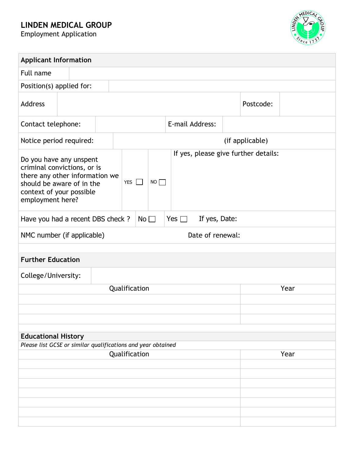## **LINDEN MEDICAL GROUP**

Employment Application



| <b>Applicant Information</b>                                                                                                                                                                                                                        |                     |  |                 |  |  |  |  |      |           |  |
|-----------------------------------------------------------------------------------------------------------------------------------------------------------------------------------------------------------------------------------------------------|---------------------|--|-----------------|--|--|--|--|------|-----------|--|
| Full name                                                                                                                                                                                                                                           |                     |  |                 |  |  |  |  |      |           |  |
| Position(s) applied for:                                                                                                                                                                                                                            |                     |  |                 |  |  |  |  |      |           |  |
| <b>Address</b>                                                                                                                                                                                                                                      |                     |  |                 |  |  |  |  |      | Postcode: |  |
| Contact telephone:                                                                                                                                                                                                                                  | E-mail Address:     |  |                 |  |  |  |  |      |           |  |
| Notice period required:                                                                                                                                                                                                                             |                     |  | (if applicable) |  |  |  |  |      |           |  |
| If yes, please give further details:<br>Do you have any unspent<br>criminal convictions, or is<br>there any other information we<br>NO<br><b>YES</b><br>$\blacksquare$<br>should be aware of in the<br>context of your possible<br>employment here? |                     |  |                 |  |  |  |  |      |           |  |
| $No \Box$<br>Yes $\Box$<br>If yes, Date:<br>Have you had a recent DBS check ?                                                                                                                                                                       |                     |  |                 |  |  |  |  |      |           |  |
| NMC number (if applicable)<br>Date of renewal:                                                                                                                                                                                                      |                     |  |                 |  |  |  |  |      |           |  |
|                                                                                                                                                                                                                                                     |                     |  |                 |  |  |  |  |      |           |  |
| <b>Further Education</b>                                                                                                                                                                                                                            |                     |  |                 |  |  |  |  |      |           |  |
|                                                                                                                                                                                                                                                     | College/University: |  |                 |  |  |  |  |      |           |  |
| Qualification                                                                                                                                                                                                                                       |                     |  |                 |  |  |  |  | Year |           |  |
|                                                                                                                                                                                                                                                     |                     |  |                 |  |  |  |  |      |           |  |
|                                                                                                                                                                                                                                                     |                     |  |                 |  |  |  |  |      |           |  |
|                                                                                                                                                                                                                                                     |                     |  |                 |  |  |  |  |      |           |  |
| <b>Educational History</b>                                                                                                                                                                                                                          |                     |  |                 |  |  |  |  |      |           |  |
| Please list GCSE or similar qualifications and year obtained<br>Qualification<br>Year                                                                                                                                                               |                     |  |                 |  |  |  |  |      |           |  |
|                                                                                                                                                                                                                                                     |                     |  |                 |  |  |  |  |      |           |  |
|                                                                                                                                                                                                                                                     |                     |  |                 |  |  |  |  |      |           |  |
|                                                                                                                                                                                                                                                     |                     |  |                 |  |  |  |  |      |           |  |
|                                                                                                                                                                                                                                                     |                     |  |                 |  |  |  |  |      |           |  |
|                                                                                                                                                                                                                                                     |                     |  |                 |  |  |  |  |      |           |  |
|                                                                                                                                                                                                                                                     |                     |  |                 |  |  |  |  |      |           |  |
|                                                                                                                                                                                                                                                     |                     |  |                 |  |  |  |  |      |           |  |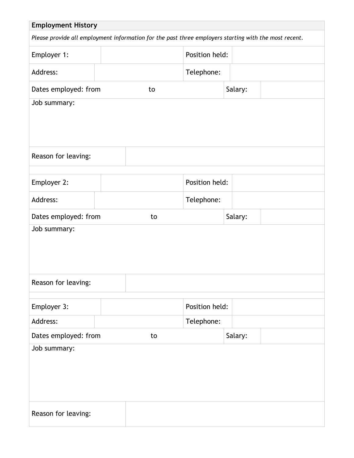| <b>Employment History</b>                                                                             |  |    |                |         |  |  |
|-------------------------------------------------------------------------------------------------------|--|----|----------------|---------|--|--|
| Please provide all employment information for the past three employers starting with the most recent. |  |    |                |         |  |  |
| Employer 1:                                                                                           |  |    | Position held: |         |  |  |
| Address:                                                                                              |  |    | Telephone:     |         |  |  |
| Dates employed: from                                                                                  |  | to |                | Salary: |  |  |
| Job summary:                                                                                          |  |    |                |         |  |  |
| Reason for leaving:                                                                                   |  |    |                |         |  |  |
| Employer 2:                                                                                           |  |    | Position held: |         |  |  |
| Address:                                                                                              |  |    | Telephone:     |         |  |  |
| Dates employed: from                                                                                  |  | to |                | Salary: |  |  |
| Job summary:                                                                                          |  |    |                |         |  |  |
| Reason for leaving:                                                                                   |  |    |                |         |  |  |
| Employer 3:                                                                                           |  |    | Position held: |         |  |  |
| Address:                                                                                              |  |    | Telephone:     |         |  |  |
| Dates employed: from                                                                                  |  | to |                | Salary: |  |  |
| Job summary:                                                                                          |  |    |                |         |  |  |
| Reason for leaving:                                                                                   |  |    |                |         |  |  |